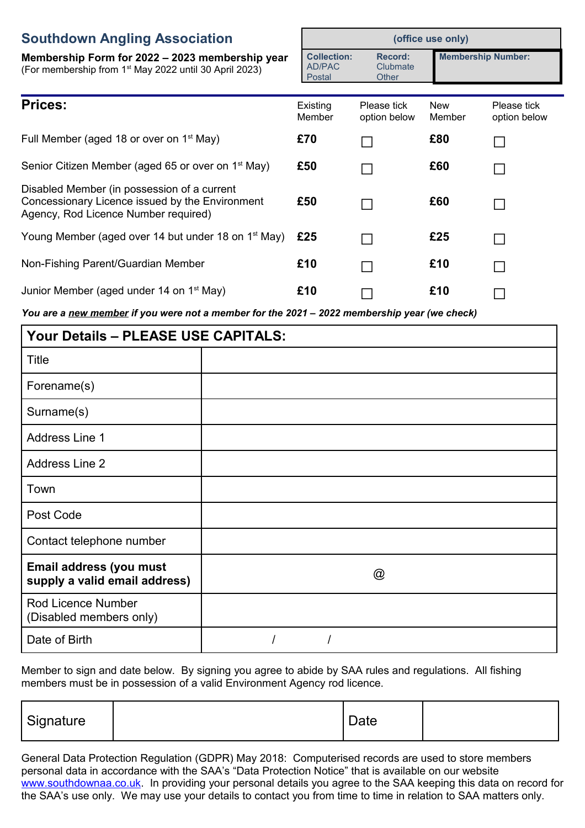## **Southdow**

| <b>Southdown Angling Association</b>                                                                                                   |                                               | (office use only)                   |                      |                             |  |
|----------------------------------------------------------------------------------------------------------------------------------------|-----------------------------------------------|-------------------------------------|----------------------|-----------------------------|--|
| Membership Form for 2022 – 2023 membership year<br>(For membership from 1 <sup>st</sup> May 2022 until 30 April 2023)                  | <b>Collection:</b><br><b>AD/PAC</b><br>Postal | <b>Record:</b><br>Clubmate<br>Other |                      | <b>Membership Number:</b>   |  |
| <b>Prices:</b>                                                                                                                         | Existing<br>Member                            | Please tick<br>option below         | <b>New</b><br>Member | Please tick<br>option below |  |
| Full Member (aged 18 or over on 1 <sup>st</sup> May)                                                                                   | £70                                           |                                     | £80                  |                             |  |
| Senior Citizen Member (aged 65 or over on 1 <sup>st</sup> May)                                                                         | £50                                           |                                     | £60                  | $\sim$                      |  |
| Disabled Member (in possession of a current<br>Concessionary Licence issued by the Environment<br>Agency, Rod Licence Number required) | £50                                           |                                     | £60                  |                             |  |
| Young Member (aged over 14 but under 18 on 1 <sup>st</sup> May)                                                                        | £25                                           |                                     | £25                  | <b>Contract</b>             |  |
| Non-Fishing Parent/Guardian Member                                                                                                     | £10                                           |                                     | £10                  | $\blacksquare$              |  |
| Junior Member (aged under 14 on 1 <sup>st</sup> May)                                                                                   | £10                                           |                                     | £10                  |                             |  |

*You are a new member if you were not a member for the 2021 – 2022 membership year (we check)*

| <b>Your Details - PLEASE USE CAPITALS:</b>               |   |  |  |  |  |
|----------------------------------------------------------|---|--|--|--|--|
| Title                                                    |   |  |  |  |  |
| Forename(s)                                              |   |  |  |  |  |
| Surname(s)                                               |   |  |  |  |  |
| <b>Address Line 1</b>                                    |   |  |  |  |  |
| <b>Address Line 2</b>                                    |   |  |  |  |  |
| Town                                                     |   |  |  |  |  |
| Post Code                                                |   |  |  |  |  |
| Contact telephone number                                 |   |  |  |  |  |
| Email address (you must<br>supply a valid email address) | @ |  |  |  |  |
| Rod Licence Number<br>(Disabled members only)            |   |  |  |  |  |
| Date of Birth                                            |   |  |  |  |  |

Member to sign and date below. By signing you agree to abide by SAA rules and regulations. All fishing members must be in possession of a valid Environment Agency rod licence.

| Signature |  | Date |  |
|-----------|--|------|--|
|-----------|--|------|--|

General Data Protection Regulation (GDPR) May 2018: Computerised records are used to store members personal data in accordance with the SAA's "Data Protection Notice" that is available on our website [www.southdownaa.co.uk.](http://www.southdownaa.co.uk/) In providing your personal details you agree to the SAA keeping this data on record for the SAA's use only. We may use your details to contact you from time to time in relation to SAA matters only.